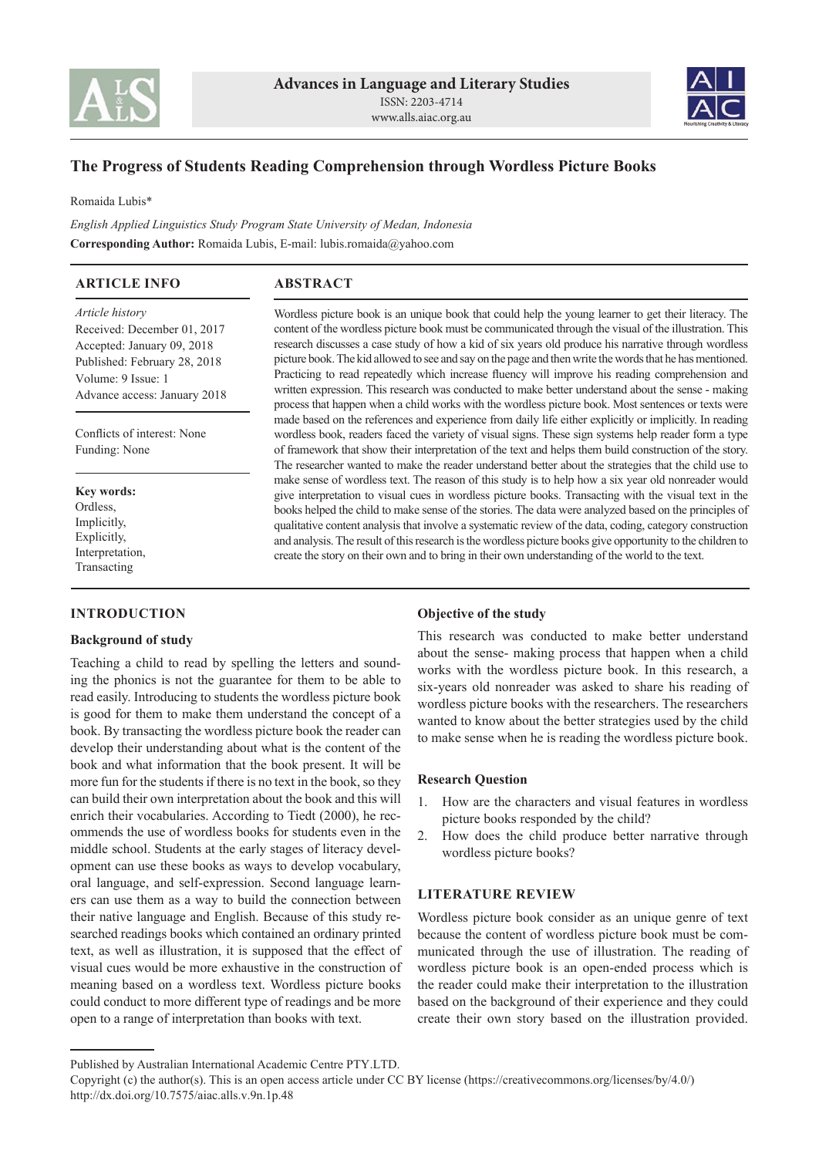



# **The Progress of Students Reading Comprehension through Wordless Picture Books**

Romaida Lubis\*

*English Applied Linguistics Study Program State University of Medan, Indonesia* **Corresponding Author:** Romaida Lubis, E-mail: lubis.romaida@yahoo.com

# **ARTICLE INFO**

# **ABSTRACT**

*Article history*  Received: December 01, 2017 Accepted: January 09, 2018 Published: February 28, 2018 Volume: 9 Issue: 1 Advance access: January 2018

Conflicts of interest: None Funding: None

**Key words: Ordless** Implicitly, Explicitly, Interpretation, Transacting

## **INTRODUCTION**

# **Background of study**

Teaching a child to read by spelling the letters and sounding the phonics is not the guarantee for them to be able to read easily. Introducing to students the wordless picture book is good for them to make them understand the concept of a book. By transacting the wordless picture book the reader can develop their understanding about what is the content of the book and what information that the book present. It will be more fun for the students if there is no text in the book, so they can build their own interpretation about the book and this will enrich their vocabularies. According to Tiedt (2000), he recommends the use of wordless books for students even in the middle school. Students at the early stages of literacy development can use these books as ways to develop vocabulary, oral language, and self-expression. Second language learners can use them as a way to build the connection between their native language and English. Because of this study researched readings books which contained an ordinary printed text, as well as illustration, it is supposed that the effect of visual cues would be more exhaustive in the construction of meaning based on a wordless text. Wordless picture books could conduct to more different type of readings and be more open to a range of interpretation than books with text.

Wordless picture book is an unique book that could help the young learner to get their literacy. The content of the wordless picture book must be communicated through the visual of the illustration. This research discusses a case study of how a kid of six years old produce his narrative through wordless picture book. The kid allowed to see and say on the page and then write the words that he has mentioned. Practicing to read repeatedly which increase fluency will improve his reading comprehension and written expression. This research was conducted to make better understand about the sense - making process that happen when a child works with the wordless picture book. Most sentences or texts were made based on the references and experience from daily life either explicitly or implicitly. In reading wordless book, readers faced the variety of visual signs. These sign systems help reader form a type of framework that show their interpretation of the text and helps them build construction of the story. The researcher wanted to make the reader understand better about the strategies that the child use to make sense of wordless text. The reason of this study is to help how a six year old nonreader would give interpretation to visual cues in wordless picture books. Transacting with the visual text in the books helped the child to make sense of the stories. The data were analyzed based on the principles of qualitative content analysis that involve a systematic review of the data, coding, category construction and analysis. The result of this research is the wordless picture books give opportunity to the children to create the story on their own and to bring in their own understanding of the world to the text.

#### **Objective of the study**

This research was conducted to make better understand about the sense- making process that happen when a child works with the wordless picture book. In this research, a six-years old nonreader was asked to share his reading of wordless picture books with the researchers. The researchers wanted to know about the better strategies used by the child to make sense when he is reading the wordless picture book.

### **Research Question**

- 1. How are the characters and visual features in wordless picture books responded by the child?
- 2. How does the child produce better narrative through wordless picture books?

# **LITERATURE REVIEW**

Wordless picture book consider as an unique genre of text because the content of wordless picture book must be communicated through the use of illustration. The reading of wordless picture book is an open-ended process which is the reader could make their interpretation to the illustration based on the background of their experience and they could create their own story based on the illustration provided.

Published by Australian International Academic Centre PTY.LTD.

Copyright (c) the author(s). This is an open access article under CC BY license (https://creativecommons.org/licenses/by/4.0/) http://dx.doi.org/10.7575/aiac.alls.v.9n.1p.48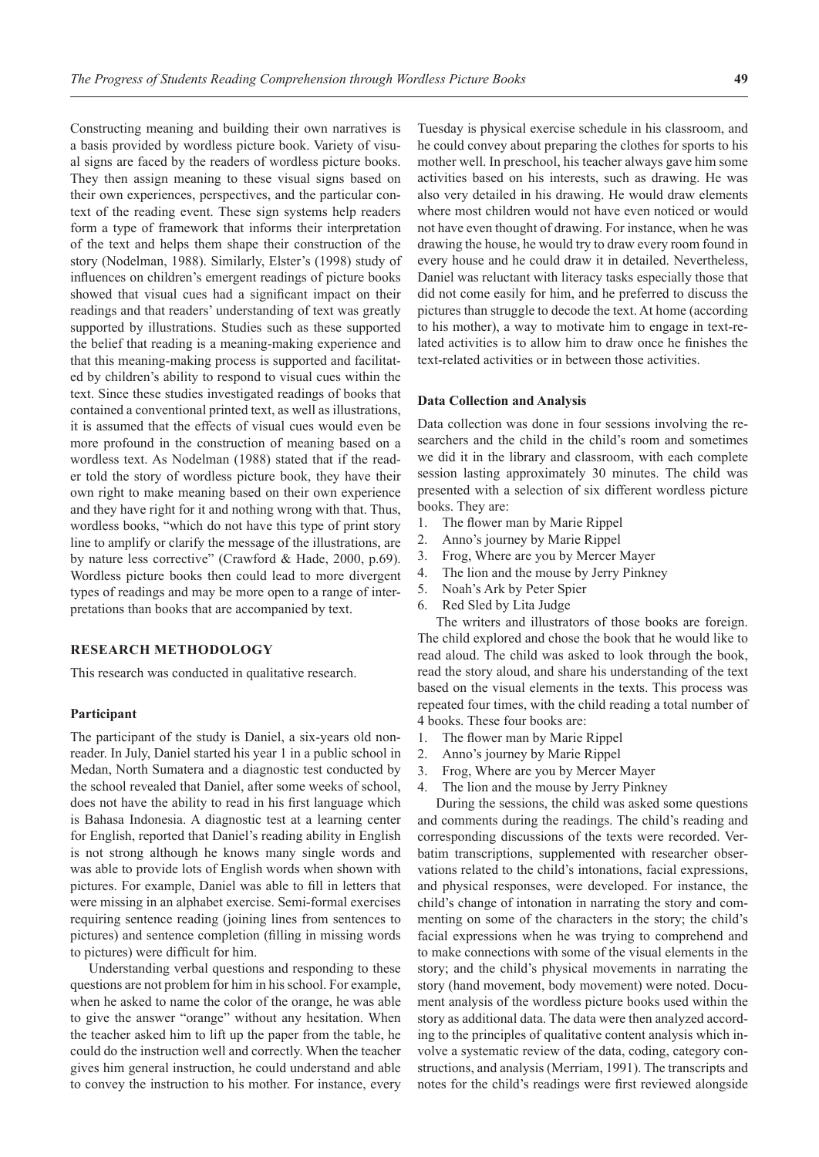Constructing meaning and building their own narratives is a basis provided by wordless picture book. Variety of visual signs are faced by the readers of wordless picture books. They then assign meaning to these visual signs based on their own experiences, perspectives, and the particular context of the reading event. These sign systems help readers form a type of framework that informs their interpretation of the text and helps them shape their construction of the story (Nodelman, 1988). Similarly, Elster's (1998) study of influences on children's emergent readings of picture books showed that visual cues had a significant impact on their readings and that readers' understanding of text was greatly supported by illustrations. Studies such as these supported the belief that reading is a meaning-making experience and that this meaning-making process is supported and facilitated by children's ability to respond to visual cues within the text. Since these studies investigated readings of books that contained a conventional printed text, as well as illustrations, it is assumed that the effects of visual cues would even be more profound in the construction of meaning based on a wordless text. As Nodelman (1988) stated that if the reader told the story of wordless picture book, they have their own right to make meaning based on their own experience and they have right for it and nothing wrong with that. Thus, wordless books, "which do not have this type of print story line to amplify or clarify the message of the illustrations, are by nature less corrective" (Crawford & Hade, 2000, p.69). Wordless picture books then could lead to more divergent types of readings and may be more open to a range of interpretations than books that are accompanied by text.

## **RESEARCH METHODOLOGY**

This research was conducted in qualitative research.

#### **Participant**

The participant of the study is Daniel, a six-years old nonreader. In July, Daniel started his year 1 in a public school in Medan, North Sumatera and a diagnostic test conducted by the school revealed that Daniel, after some weeks of school, does not have the ability to read in his first language which is Bahasa Indonesia. A diagnostic test at a learning center for English, reported that Daniel's reading ability in English is not strong although he knows many single words and was able to provide lots of English words when shown with pictures. For example, Daniel was able to fill in letters that were missing in an alphabet exercise. Semi-formal exercises requiring sentence reading (joining lines from sentences to pictures) and sentence completion (filling in missing words to pictures) were difficult for him.

Understanding verbal questions and responding to these questions are not problem for him in his school. For example, when he asked to name the color of the orange, he was able to give the answer "orange" without any hesitation. When the teacher asked him to lift up the paper from the table, he could do the instruction well and correctly. When the teacher gives him general instruction, he could understand and able to convey the instruction to his mother. For instance, every

Tuesday is physical exercise schedule in his classroom, and he could convey about preparing the clothes for sports to his mother well. In preschool, his teacher always gave him some activities based on his interests, such as drawing. He was also very detailed in his drawing. He would draw elements where most children would not have even noticed or would not have even thought of drawing. For instance, when he was drawing the house, he would try to draw every room found in every house and he could draw it in detailed. Nevertheless, Daniel was reluctant with literacy tasks especially those that did not come easily for him, and he preferred to discuss the pictures than struggle to decode the text. At home (according to his mother), a way to motivate him to engage in text-related activities is to allow him to draw once he finishes the text-related activities or in between those activities.

### **Data Collection and Analysis**

Data collection was done in four sessions involving the researchers and the child in the child's room and sometimes we did it in the library and classroom, with each complete session lasting approximately 30 minutes. The child was presented with a selection of six different wordless picture books. They are:

- 1. The flower man by Marie Rippel
- 2. Anno's journey by Marie Rippel
- 3. Frog, Where are you by Mercer Mayer
- 4. The lion and the mouse by Jerry Pinkney
- 5. Noah's Ark by Peter Spier
- 6. Red Sled by Lita Judge

The writers and illustrators of those books are foreign. The child explored and chose the book that he would like to read aloud. The child was asked to look through the book, read the story aloud, and share his understanding of the text based on the visual elements in the texts. This process was repeated four times, with the child reading a total number of 4 books. These four books are:

- 1. The flower man by Marie Rippel
- 2. Anno's journey by Marie Rippel
- 3. Frog, Where are you by Mercer Mayer
- 4. The lion and the mouse by Jerry Pinkney

During the sessions, the child was asked some questions and comments during the readings. The child's reading and corresponding discussions of the texts were recorded. Verbatim transcriptions, supplemented with researcher observations related to the child's intonations, facial expressions, and physical responses, were developed. For instance, the child's change of intonation in narrating the story and commenting on some of the characters in the story; the child's facial expressions when he was trying to comprehend and to make connections with some of the visual elements in the story; and the child's physical movements in narrating the story (hand movement, body movement) were noted. Document analysis of the wordless picture books used within the story as additional data. The data were then analyzed according to the principles of qualitative content analysis which involve a systematic review of the data, coding, category constructions, and analysis (Merriam, 1991). The transcripts and notes for the child's readings were first reviewed alongside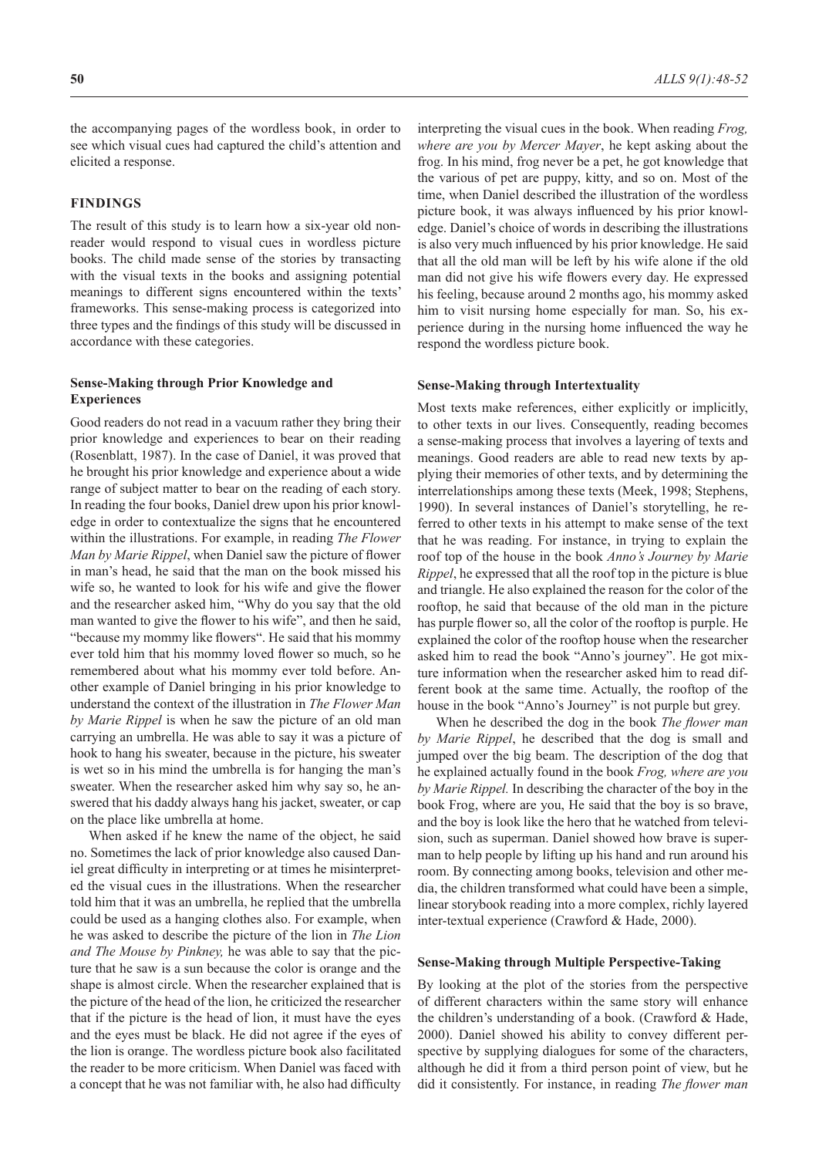the accompanying pages of the wordless book, in order to see which visual cues had captured the child's attention and elicited a response.

#### **FINDINGS**

The result of this study is to learn how a six-year old nonreader would respond to visual cues in wordless picture books. The child made sense of the stories by transacting with the visual texts in the books and assigning potential meanings to different signs encountered within the texts' frameworks. This sense-making process is categorized into three types and the findings of this study will be discussed in accordance with these categories.

# **Sense-Making through Prior Knowledge and Experiences**

Good readers do not read in a vacuum rather they bring their prior knowledge and experiences to bear on their reading (Rosenblatt, 1987). In the case of Daniel, it was proved that he brought his prior knowledge and experience about a wide range of subject matter to bear on the reading of each story. In reading the four books, Daniel drew upon his prior knowledge in order to contextualize the signs that he encountered within the illustrations. For example, in reading *The Flower Man by Marie Rippel*, when Daniel saw the picture of flower in man's head, he said that the man on the book missed his wife so, he wanted to look for his wife and give the flower and the researcher asked him, "Why do you say that the old man wanted to give the flower to his wife", and then he said, "because my mommy like flowers". He said that his mommy ever told him that his mommy loved flower so much, so he remembered about what his mommy ever told before. Another example of Daniel bringing in his prior knowledge to understand the context of the illustration in *The Flower Man by Marie Rippel* is when he saw the picture of an old man carrying an umbrella. He was able to say it was a picture of hook to hang his sweater, because in the picture, his sweater is wet so in his mind the umbrella is for hanging the man's sweater. When the researcher asked him why say so, he answered that his daddy always hang his jacket, sweater, or cap on the place like umbrella at home.

When asked if he knew the name of the object, he said no. Sometimes the lack of prior knowledge also caused Daniel great difficulty in interpreting or at times he misinterpreted the visual cues in the illustrations. When the researcher told him that it was an umbrella, he replied that the umbrella could be used as a hanging clothes also. For example, when he was asked to describe the picture of the lion in *The Lion and The Mouse by Pinkney,* he was able to say that the picture that he saw is a sun because the color is orange and the shape is almost circle. When the researcher explained that is the picture of the head of the lion, he criticized the researcher that if the picture is the head of lion, it must have the eyes and the eyes must be black. He did not agree if the eyes of the lion is orange. The wordless picture book also facilitated the reader to be more criticism. When Daniel was faced with a concept that he was not familiar with, he also had difficulty

interpreting the visual cues in the book. When reading *Frog, where are you by Mercer Mayer*, he kept asking about the frog. In his mind, frog never be a pet, he got knowledge that the various of pet are puppy, kitty, and so on. Most of the time, when Daniel described the illustration of the wordless picture book, it was always influenced by his prior knowledge. Daniel's choice of words in describing the illustrations is also very much influenced by his prior knowledge. He said that all the old man will be left by his wife alone if the old man did not give his wife flowers every day. He expressed his feeling, because around 2 months ago, his mommy asked him to visit nursing home especially for man. So, his experience during in the nursing home influenced the way he respond the wordless picture book.

### **Sense-Making through Intertextuality**

Most texts make references, either explicitly or implicitly, to other texts in our lives. Consequently, reading becomes a sense-making process that involves a layering of texts and meanings. Good readers are able to read new texts by applying their memories of other texts, and by determining the interrelationships among these texts (Meek, 1998; Stephens, 1990). In several instances of Daniel's storytelling, he referred to other texts in his attempt to make sense of the text that he was reading. For instance, in trying to explain the roof top of the house in the book *Anno's Journey by Marie Rippel*, he expressed that all the roof top in the picture is blue and triangle. He also explained the reason for the color of the rooftop, he said that because of the old man in the picture has purple flower so, all the color of the rooftop is purple. He explained the color of the rooftop house when the researcher asked him to read the book "Anno's journey". He got mixture information when the researcher asked him to read different book at the same time. Actually, the rooftop of the house in the book "Anno's Journey" is not purple but grey.

When he described the dog in the book *The flower man by Marie Rippel*, he described that the dog is small and jumped over the big beam. The description of the dog that he explained actually found in the book *Frog, where are you by Marie Rippel.* In describing the character of the boy in the book Frog, where are you, He said that the boy is so brave, and the boy is look like the hero that he watched from television, such as superman. Daniel showed how brave is superman to help people by lifting up his hand and run around his room. By connecting among books, television and other media, the children transformed what could have been a simple, linear storybook reading into a more complex, richly layered inter-textual experience (Crawford & Hade, 2000).

#### **Sense-Making through Multiple Perspective-Taking**

By looking at the plot of the stories from the perspective of different characters within the same story will enhance the children's understanding of a book. (Crawford & Hade, 2000). Daniel showed his ability to convey different perspective by supplying dialogues for some of the characters, although he did it from a third person point of view, but he did it consistently. For instance, in reading *The flower man*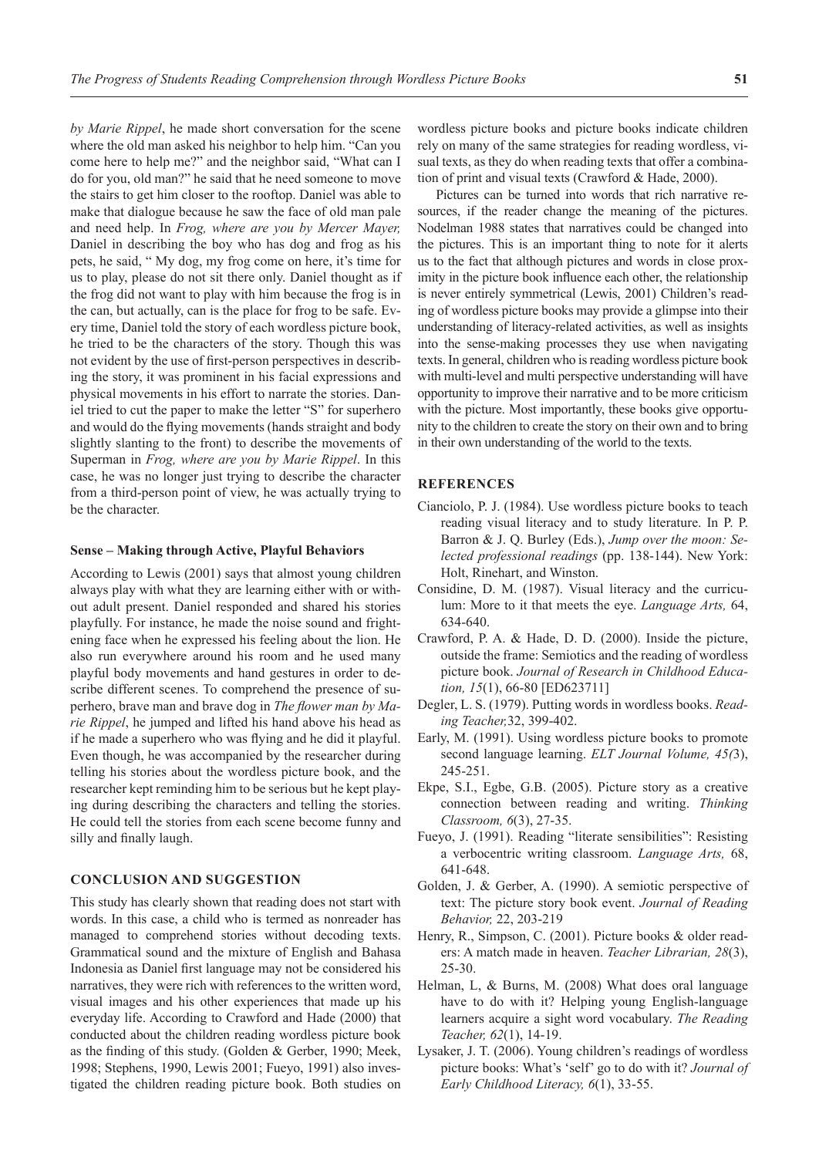*by Marie Rippel*, he made short conversation for the scene where the old man asked his neighbor to help him. "Can you come here to help me?" and the neighbor said, "What can I do for you, old man?" he said that he need someone to move the stairs to get him closer to the rooftop. Daniel was able to make that dialogue because he saw the face of old man pale and need help. In *Frog, where are you by Mercer Mayer,* Daniel in describing the boy who has dog and frog as his pets, he said, " My dog, my frog come on here, it's time for us to play, please do not sit there only. Daniel thought as if the frog did not want to play with him because the frog is in the can, but actually, can is the place for frog to be safe. Every time, Daniel told the story of each wordless picture book, he tried to be the characters of the story. Though this was not evident by the use of first-person perspectives in describing the story, it was prominent in his facial expressions and physical movements in his effort to narrate the stories. Daniel tried to cut the paper to make the letter "S" for superhero and would do the flying movements (hands straight and body slightly slanting to the front) to describe the movements of Superman in *Frog, where are you by Marie Rippel*. In this case, he was no longer just trying to describe the character from a third-person point of view, he was actually trying to be the character.

#### **Sense – Making through Active, Playful Behaviors**

According to Lewis (2001) says that almost young children always play with what they are learning either with or without adult present. Daniel responded and shared his stories playfully. For instance, he made the noise sound and frightening face when he expressed his feeling about the lion. He also run everywhere around his room and he used many playful body movements and hand gestures in order to describe different scenes. To comprehend the presence of superhero, brave man and brave dog in *The flower man by Marie Rippel*, he jumped and lifted his hand above his head as if he made a superhero who was flying and he did it playful. Even though, he was accompanied by the researcher during telling his stories about the wordless picture book, and the researcher kept reminding him to be serious but he kept playing during describing the characters and telling the stories. He could tell the stories from each scene become funny and silly and finally laugh.

# **CONCLUSION AND SUGGESTION**

This study has clearly shown that reading does not start with words. In this case, a child who is termed as nonreader has managed to comprehend stories without decoding texts. Grammatical sound and the mixture of English and Bahasa Indonesia as Daniel first language may not be considered his narratives, they were rich with references to the written word, visual images and his other experiences that made up his everyday life. According to Crawford and Hade (2000) that conducted about the children reading wordless picture book as the finding of this study. (Golden & Gerber, 1990; Meek, 1998; Stephens, 1990, Lewis 2001; Fueyo, 1991) also investigated the children reading picture book. Both studies on

wordless picture books and picture books indicate children rely on many of the same strategies for reading wordless, visual texts, as they do when reading texts that offer a combination of print and visual texts (Crawford & Hade, 2000).

Pictures can be turned into words that rich narrative resources, if the reader change the meaning of the pictures. Nodelman 1988 states that narratives could be changed into the pictures. This is an important thing to note for it alerts us to the fact that although pictures and words in close proximity in the picture book influence each other, the relationship is never entirely symmetrical (Lewis, 2001) Children's reading of wordless picture books may provide a glimpse into their understanding of literacy-related activities, as well as insights into the sense-making processes they use when navigating texts. In general, children who is reading wordless picture book with multi-level and multi perspective understanding will have opportunity to improve their narrative and to be more criticism with the picture. Most importantly, these books give opportunity to the children to create the story on their own and to bring in their own understanding of the world to the texts.

#### **REFERENCES**

- Cianciolo, P. J. (1984). Use wordless picture books to teach reading visual literacy and to study literature. In P. P. Barron & J. Q. Burley (Eds.), *Jump over the moon: Selected professional readings* (pp. 138-144). New York: Holt, Rinehart, and Winston.
- Considine, D. M. (1987). Visual literacy and the curriculum: More to it that meets the eye. *Language Arts,* 64, 634-640.
- Crawford, P. A. & Hade, D. D. (2000). Inside the picture, outside the frame: Semiotics and the reading of wordless picture book. *Journal of Research in Childhood Education, 15*(1), 66-80 [ED623711]
- Degler, L. S. (1979). Putting words in wordless books. *Reading Teacher,*32, 399-402.
- Early, M. (1991). Using wordless picture books to promote second language learning. *ELT Journal Volume, 45(*3), 245-251.
- Ekpe, S.I., Egbe, G.B. (2005). Picture story as a creative connection between reading and writing. *Thinking Classroom, 6*(3), 27-35.
- Fueyo, J. (1991). Reading "literate sensibilities": Resisting a verbocentric writing classroom. *Language Arts,* 68, 641-648.
- Golden, J. & Gerber, A. (1990). A semiotic perspective of text: The picture story book event. *Journal of Reading Behavior,* 22, 203-219
- Henry, R., Simpson, C. (2001). Picture books & older readers: A match made in heaven. *Teacher Librarian, 28*(3), 25-30.
- Helman, L, & Burns, M. (2008) What does oral language have to do with it? Helping young English-language learners acquire a sight word vocabulary. *The Reading Teacher, 62*(1), 14-19.
- Lysaker, J. T. (2006). Young children's readings of wordless picture books: What's 'self' go to do with it? *Journal of Early Childhood Literacy, 6*(1), 33-55.